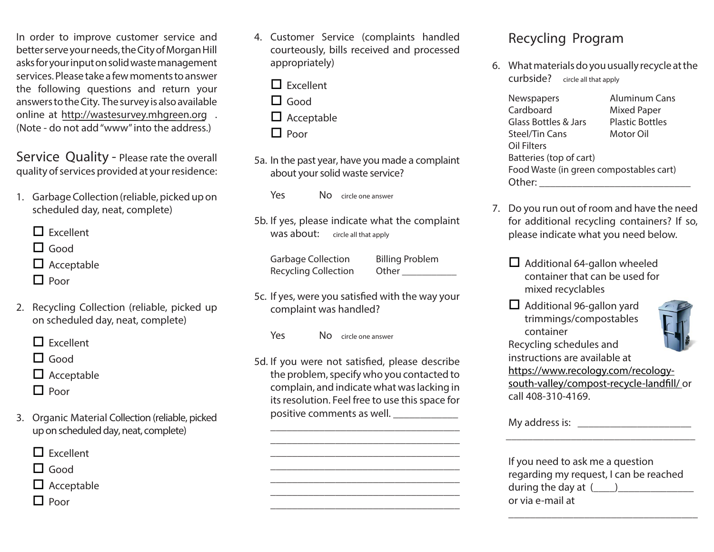In order to improve customer service and better serve your needs, the City of Morgan Hill asks for your input on solid waste management services. Please take a few moments to answer the following questions and return your answers to the City. The survey is also available online at http://wastesurvey.mhgreen.org . (Note - do not add "www" into the address.)

Service Quality - Please rate the overall quality of services provided at your residence:

- 1. Garbage Collection (reliable, picked up on scheduled day, neat, complete)
	- $\Box$  Excellent
	- $\Box$  Good
	- $\Box$  Acceptable
	- $\Box$  Poor
- 2. Recycling Collection (reliable, picked up on scheduled day, neat, complete)
	- $\Box$  Excellent
	- $\Box$  Good
	- $\Box$  Acceptable
	- $\Box$  Poor
- 3. Organic Material Collection (reliable, picked up on scheduled day, neat, complete)

 $\Box$  Excellent

 $\Box$  Good

 $\Box$  Acceptable

 $\Box$  Poor

- 4. Customer Service (complaints handled courteously, bills received and processed appropriately)
	- $\Box$  Excellent

 $\Box$  Good

 $\Box$  Acceptable

 $\Box$  Poor

- 5a. In the past year, have you made a complaint about your solid waste service?
	- **Yes** No circle one answer
- 5b. If yes, please indicate what the complaint Was about: circle all that apply
	- **Garbage Collection Recycling Collection**

**Billing Problem** Other\_\_\_\_\_\_\_\_

- 5c. If yes, were you satisfied with the way your complaint was handled?
	- Yes No circle one answer
- 5d. If you were not satisfied, please describe the problem, specify who you contacted to complain, and indicate what was lacking in its resolution. Feel free to use this space for positive comments as well.

## **Recycling Program**

6. What materials do you usually recycle at the **curbside?** circle all that apply

| Newspapers                              | Aluminum Cans          |  |
|-----------------------------------------|------------------------|--|
| Cardboard                               | <b>Mixed Paper</b>     |  |
| Glass Bottles & Jars                    | <b>Plastic Bottles</b> |  |
| <b>Steel/Tin Cans</b>                   | Motor Oil              |  |
| Oil Filters                             |                        |  |
| Batteries (top of cart)                 |                        |  |
| Food Waste (in green compostables cart) |                        |  |
| Other:                                  |                        |  |

- 7. Do you run out of room and have the need for additional recycling containers? If so, please indicate what you need below.
	- $\Box$  Additional 64-gallon wheeled container that can be used for mixed recyclables
	- $\Box$  Additional 96-gallon yard trimmings/compostables container Recycling schedules and

instructions are available at



https://www.recology.com/recologysouth-valley/compost-recycle-landfill/ or call 408-310-4169.

My address is: Note that the state of the state of the state of the state of the state of the state of the state of the state of the state of the state of the state of the state of the state of the state of the state of th

| If you need to ask me a question       |  |  |
|----------------------------------------|--|--|
| regarding my request, I can be reached |  |  |
| during the day at $($                  |  |  |
| or via e-mail at                       |  |  |